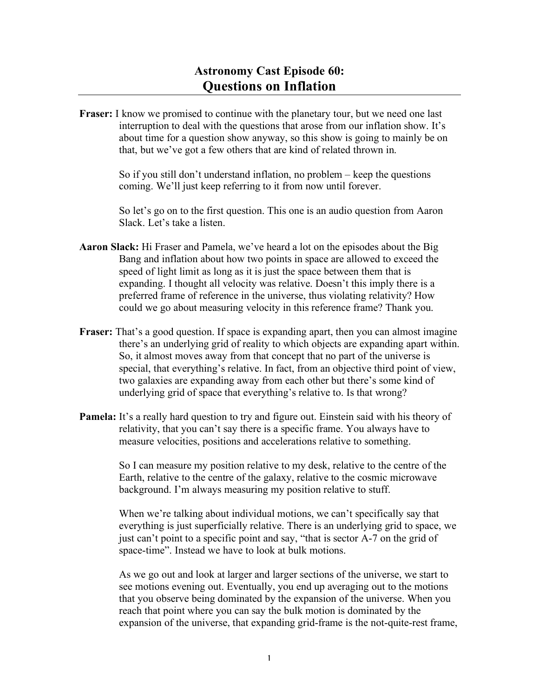**Fraser:** I know we promised to continue with the planetary tour, but we need one last interruption to deal with the questions that arose from our inflation show. It's about time for a question show anyway, so this show is going to mainly be on that, but we've got a few others that are kind of related thrown in.

> So if you still don't understand inflation, no problem – keep the questions coming. We'll just keep referring to it from now until forever.

So let's go on to the first question. This one is an audio question from Aaron Slack. Let's take a listen.

- **Aaron Slack:** Hi Fraser and Pamela, we've heard a lot on the episodes about the Big Bang and inflation about how two points in space are allowed to exceed the speed of light limit as long as it is just the space between them that is expanding. I thought all velocity was relative. Doesn't this imply there is a preferred frame of reference in the universe, thus violating relativity? How could we go about measuring velocity in this reference frame? Thank you.
- **Fraser:** That's a good question. If space is expanding apart, then you can almost imagine there's an underlying grid of reality to which objects are expanding apart within. So, it almost moves away from that concept that no part of the universe is special, that everything's relative. In fact, from an objective third point of view, two galaxies are expanding away from each other but there's some kind of underlying grid of space that everything's relative to. Is that wrong?
- **Pamela:** It's a really hard question to try and figure out. Einstein said with his theory of relativity, that you can't say there is a specific frame. You always have to measure velocities, positions and accelerations relative to something.

So I can measure my position relative to my desk, relative to the centre of the Earth, relative to the centre of the galaxy, relative to the cosmic microwave background. I'm always measuring my position relative to stuff.

When we're talking about individual motions, we can't specifically say that everything is just superficially relative. There is an underlying grid to space, we just can't point to a specific point and say, "that is sector A-7 on the grid of space-time". Instead we have to look at bulk motions.

As we go out and look at larger and larger sections of the universe, we start to see motions evening out. Eventually, you end up averaging out to the motions that you observe being dominated by the expansion of the universe. When you reach that point where you can say the bulk motion is dominated by the expansion of the universe, that expanding grid-frame is the not-quite-rest frame,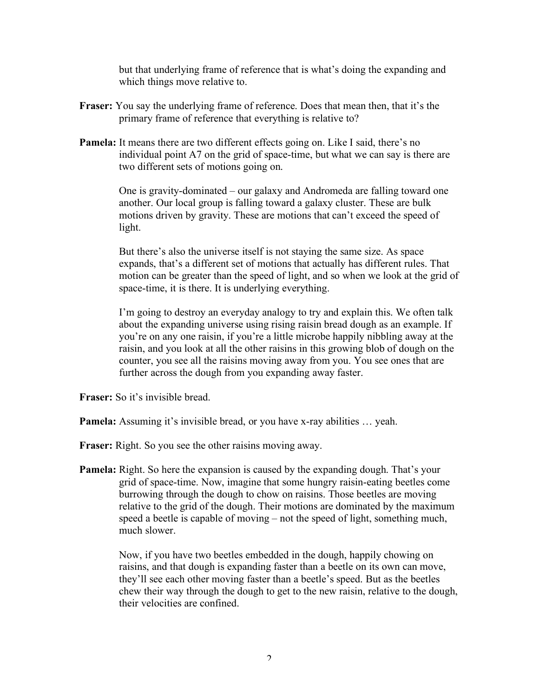but that underlying frame of reference that is what's doing the expanding and which things move relative to.

- **Fraser:** You say the underlying frame of reference. Does that mean then, that it's the primary frame of reference that everything is relative to?
- **Pamela:** It means there are two different effects going on. Like I said, there's no individual point A7 on the grid of space-time, but what we can say is there are two different sets of motions going on.

One is gravity-dominated – our galaxy and Andromeda are falling toward one another. Our local group is falling toward a galaxy cluster. These are bulk motions driven by gravity. These are motions that can't exceed the speed of light.

But there's also the universe itself is not staying the same size. As space expands, that's a different set of motions that actually has different rules. That motion can be greater than the speed of light, and so when we look at the grid of space-time, it is there. It is underlying everything.

I'm going to destroy an everyday analogy to try and explain this. We often talk about the expanding universe using rising raisin bread dough as an example. If you're on any one raisin, if you're a little microbe happily nibbling away at the raisin, and you look at all the other raisins in this growing blob of dough on the counter, you see all the raisins moving away from you. You see ones that are further across the dough from you expanding away faster.

**Fraser:** So it's invisible bread.

**Pamela:** Assuming it's invisible bread, or you have x-ray abilities ... yeah.

**Fraser:** Right. So you see the other raisins moving away.

**Pamela:** Right. So here the expansion is caused by the expanding dough. That's your grid of space-time. Now, imagine that some hungry raisin-eating beetles come burrowing through the dough to chow on raisins. Those beetles are moving relative to the grid of the dough. Their motions are dominated by the maximum speed a beetle is capable of moving – not the speed of light, something much, much slower.

> Now, if you have two beetles embedded in the dough, happily chowing on raisins, and that dough is expanding faster than a beetle on its own can move, they'll see each other moving faster than a beetle's speed. But as the beetles chew their way through the dough to get to the new raisin, relative to the dough, their velocities are confined.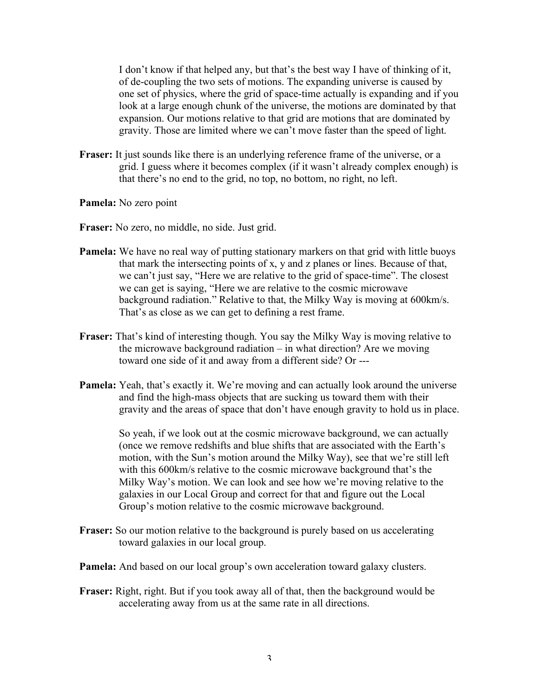I don't know if that helped any, but that's the best way I have of thinking of it, of de-coupling the two sets of motions. The expanding universe is caused by one set of physics, where the grid of space-time actually is expanding and if you look at a large enough chunk of the universe, the motions are dominated by that expansion. Our motions relative to that grid are motions that are dominated by gravity. Those are limited where we can't move faster than the speed of light.

- **Fraser:** It just sounds like there is an underlying reference frame of the universe, or a grid. I guess where it becomes complex (if it wasn't already complex enough) is that there's no end to the grid, no top, no bottom, no right, no left.
- **Pamela:** No zero point

**Fraser:** No zero, no middle, no side. Just grid.

- **Pamela:** We have no real way of putting stationary markers on that grid with little buoys that mark the intersecting points of x, y and z planes or lines. Because of that, we can't just say, "Here we are relative to the grid of space-time". The closest we can get is saying, "Here we are relative to the cosmic microwave background radiation." Relative to that, the Milky Way is moving at 600km/s. That's as close as we can get to defining a rest frame.
- **Fraser:** That's kind of interesting though. You say the Milky Way is moving relative to the microwave background radiation – in what direction? Are we moving toward one side of it and away from a different side? Or ---
- **Pamela:** Yeah, that's exactly it. We're moving and can actually look around the universe and find the high-mass objects that are sucking us toward them with their gravity and the areas of space that don't have enough gravity to hold us in place.

So yeah, if we look out at the cosmic microwave background, we can actually (once we remove redshifts and blue shifts that are associated with the Earth's motion, with the Sun's motion around the Milky Way), see that we're still left with this 600km/s relative to the cosmic microwave background that's the Milky Way's motion. We can look and see how we're moving relative to the galaxies in our Local Group and correct for that and figure out the Local Group's motion relative to the cosmic microwave background.

- **Fraser:** So our motion relative to the background is purely based on us accelerating toward galaxies in our local group.
- **Pamela:** And based on our local group's own acceleration toward galaxy clusters.
- **Fraser:** Right, right. But if you took away all of that, then the background would be accelerating away from us at the same rate in all directions.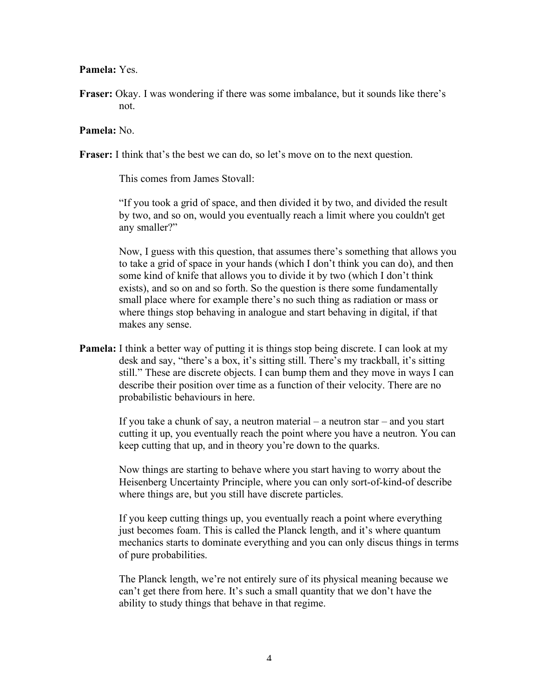## **Pamela:** Yes.

**Fraser:** Okay. I was wondering if there was some imbalance, but it sounds like there's not.

## **Pamela:** No.

**Fraser:** I think that's the best we can do, so let's move on to the next question.

This comes from James Stovall:

"If you took a grid of space, and then divided it by two, and divided the result by two, and so on, would you eventually reach a limit where you couldn't get any smaller?"

Now, I guess with this question, that assumes there's something that allows you to take a grid of space in your hands (which I don't think you can do), and then some kind of knife that allows you to divide it by two (which I don't think exists), and so on and so forth. So the question is there some fundamentally small place where for example there's no such thing as radiation or mass or where things stop behaving in analogue and start behaving in digital, if that makes any sense.

**Pamela:** I think a better way of putting it is things stop being discrete. I can look at my desk and say, "there's a box, it's sitting still. There's my trackball, it's sitting still." These are discrete objects. I can bump them and they move in ways I can describe their position over time as a function of their velocity. There are no probabilistic behaviours in here.

> If you take a chunk of say, a neutron material – a neutron star – and you start cutting it up, you eventually reach the point where you have a neutron. You can keep cutting that up, and in theory you're down to the quarks.

Now things are starting to behave where you start having to worry about the Heisenberg Uncertainty Principle, where you can only sort-of-kind-of describe where things are, but you still have discrete particles.

If you keep cutting things up, you eventually reach a point where everything just becomes foam. This is called the Planck length, and it's where quantum mechanics starts to dominate everything and you can only discus things in terms of pure probabilities.

The Planck length, we're not entirely sure of its physical meaning because we can't get there from here. It's such a small quantity that we don't have the ability to study things that behave in that regime.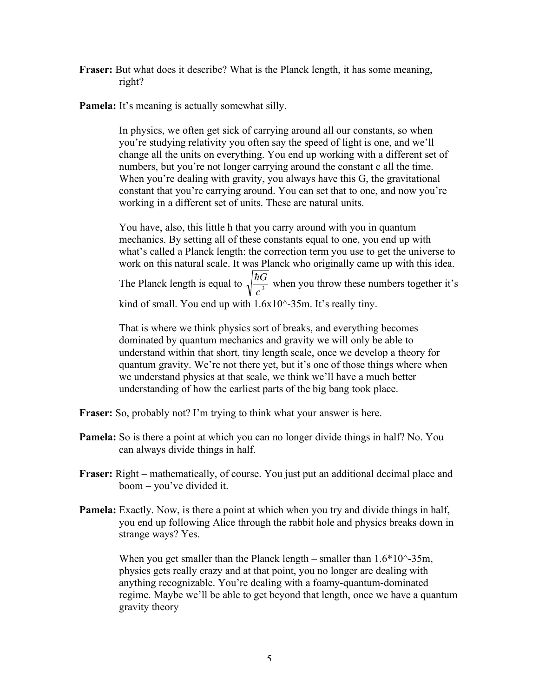- **Fraser:** But what does it describe? What is the Planck length, it has some meaning, right?
- **Pamela:** It's meaning is actually somewhat silly.

In physics, we often get sick of carrying around all our constants, so when you're studying relativity you often say the speed of light is one, and we'll change all the units on everything. You end up working with a different set of numbers, but you're not longer carrying around the constant c all the time. When you're dealing with gravity, you always have this G, the gravitational constant that you're carrying around. You can set that to one, and now you're working in a different set of units. These are natural units.

You have, also, this little ħ that you carry around with you in quantum mechanics. By setting all of these constants equal to one, you end up with what's called a Planck length: the correction term you use to get the universe to work on this natural scale. It was Planck who originally came up with this idea. The Planck length is equal to  $\sqrt{\frac{\hbar G}{\lambda}}$ J  $\frac{1}{c^3}$  when you throw these numbers together it's kind of small. You end up with 1.6x10^-35m. It's really tiny.

dominated by quantum mechanics and gravity we will only be able to That is where we think physics sort of breaks, and everything becomes understand within that short, tiny length scale, once we develop a theory for quantum gravity. We're not there yet, but it's one of those things where when we understand physics at that scale, we think we'll have a much better understanding of how the earliest parts of the big bang took place.

- **Fraser:** So, probably not? I'm trying to think what your answer is here.
- **Pamela:** So is there a point at which you can no longer divide things in half? No. You can always divide things in half.
- **Fraser:** Right mathematically, of course. You just put an additional decimal place and boom – you've divided it.
- **Pamela:** Exactly. Now, is there a point at which when you try and divide things in half, you end up following Alice through the rabbit hole and physics breaks down in strange ways? Yes.

When you get smaller than the Planck length – smaller than  $1.6*10^{\circ}$ -35m, physics gets really crazy and at that point, you no longer are dealing with anything recognizable. You're dealing with a foamy-quantum-dominated regime. Maybe we'll be able to get beyond that length, once we have a quantum gravity theory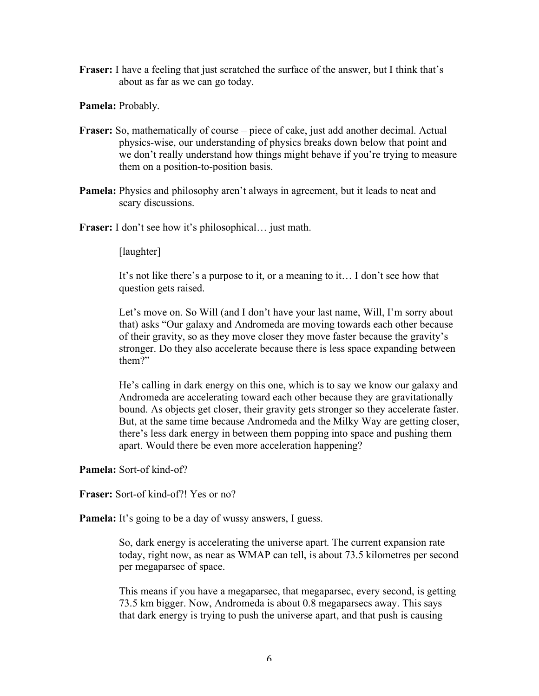**Fraser:** I have a feeling that just scratched the surface of the answer, but I think that's about as far as we can go today.

**Pamela:** Probably.

- **Fraser:** So, mathematically of course piece of cake, just add another decimal. Actual physics-wise, our understanding of physics breaks down below that point and we don't really understand how things might behave if you're trying to measure them on a position-to-position basis.
- **Pamela:** Physics and philosophy aren't always in agreement, but it leads to neat and scary discussions.

**Fraser:** I don't see how it's philosophical… just math.

[laughter]

It's not like there's a purpose to it, or a meaning to it… I don't see how that question gets raised.

Let's move on. So Will (and I don't have your last name, Will, I'm sorry about that) asks "Our galaxy and Andromeda are moving towards each other because of their gravity, so as they move closer they move faster because the gravity's stronger. Do they also accelerate because there is less space expanding between them?"

He's calling in dark energy on this one, which is to say we know our galaxy and Andromeda are accelerating toward each other because they are gravitationally bound. As objects get closer, their gravity gets stronger so they accelerate faster. But, at the same time because Andromeda and the Milky Way are getting closer, there's less dark energy in between them popping into space and pushing them apart. Would there be even more acceleration happening?

**Pamela:** Sort-of kind-of?

**Fraser:** Sort-of kind-of?! Yes or no?

**Pamela:** It's going to be a day of wussy answers, I guess.

So, dark energy is accelerating the universe apart. The current expansion rate today, right now, as near as WMAP can tell, is about 73.5 kilometres per second per megaparsec of space.

This means if you have a megaparsec, that megaparsec, every second, is getting 73.5 km bigger. Now, Andromeda is about 0.8 megaparsecs away. This says that dark energy is trying to push the universe apart, and that push is causing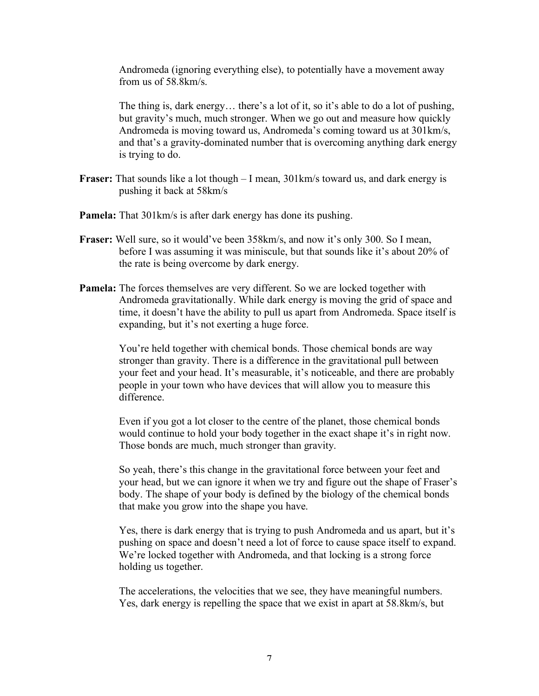Andromeda (ignoring everything else), to potentially have a movement away from us of 58.8km/s.

The thing is, dark energy… there's a lot of it, so it's able to do a lot of pushing, but gravity's much, much stronger. When we go out and measure how quickly Andromeda is moving toward us, Andromeda's coming toward us at 301km/s, and that's a gravity-dominated number that is overcoming anything dark energy is trying to do.

- **Fraser:** That sounds like a lot though I mean, 301km/s toward us, and dark energy is pushing it back at 58km/s
- **Pamela:** That 301km/s is after dark energy has done its pushing.
- **Fraser:** Well sure, so it would've been 358km/s, and now it's only 300. So I mean, before I was assuming it was miniscule, but that sounds like it's about 20% of the rate is being overcome by dark energy.
- **Pamela:** The forces themselves are very different. So we are locked together with Andromeda gravitationally. While dark energy is moving the grid of space and time, it doesn't have the ability to pull us apart from Andromeda. Space itself is expanding, but it's not exerting a huge force.

You're held together with chemical bonds. Those chemical bonds are way stronger than gravity. There is a difference in the gravitational pull between your feet and your head. It's measurable, it's noticeable, and there are probably people in your town who have devices that will allow you to measure this difference.

Even if you got a lot closer to the centre of the planet, those chemical bonds would continue to hold your body together in the exact shape it's in right now. Those bonds are much, much stronger than gravity.

So yeah, there's this change in the gravitational force between your feet and your head, but we can ignore it when we try and figure out the shape of Fraser's body. The shape of your body is defined by the biology of the chemical bonds that make you grow into the shape you have.

Yes, there is dark energy that is trying to push Andromeda and us apart, but it's pushing on space and doesn't need a lot of force to cause space itself to expand. We're locked together with Andromeda, and that locking is a strong force holding us together.

The accelerations, the velocities that we see, they have meaningful numbers. Yes, dark energy is repelling the space that we exist in apart at 58.8km/s, but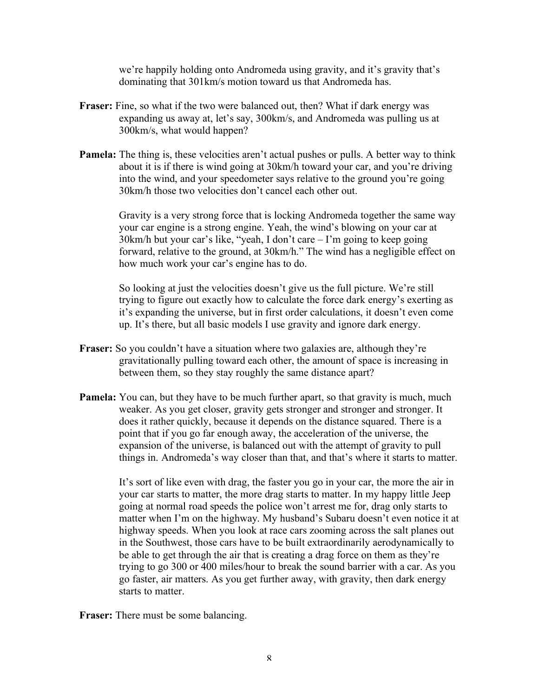we're happily holding onto Andromeda using gravity, and it's gravity that's dominating that 301km/s motion toward us that Andromeda has.

- **Fraser:** Fine, so what if the two were balanced out, then? What if dark energy was expanding us away at, let's say, 300km/s, and Andromeda was pulling us at 300km/s, what would happen?
- **Pamela:** The thing is, these velocities aren't actual pushes or pulls. A better way to think about it is if there is wind going at 30km/h toward your car, and you're driving into the wind, and your speedometer says relative to the ground you're going 30km/h those two velocities don't cancel each other out.

Gravity is a very strong force that is locking Andromeda together the same way your car engine is a strong engine. Yeah, the wind's blowing on your car at 30km/h but your car's like, "yeah, I don't care – I'm going to keep going forward, relative to the ground, at 30km/h." The wind has a negligible effect on how much work your car's engine has to do.

So looking at just the velocities doesn't give us the full picture. We're still trying to figure out exactly how to calculate the force dark energy's exerting as it's expanding the universe, but in first order calculations, it doesn't even come up. It's there, but all basic models I use gravity and ignore dark energy.

- **Fraser:** So you couldn't have a situation where two galaxies are, although they're gravitationally pulling toward each other, the amount of space is increasing in between them, so they stay roughly the same distance apart?
- **Pamela:** You can, but they have to be much further apart, so that gravity is much, much weaker. As you get closer, gravity gets stronger and stronger and stronger. It does it rather quickly, because it depends on the distance squared. There is a point that if you go far enough away, the acceleration of the universe, the expansion of the universe, is balanced out with the attempt of gravity to pull things in. Andromeda's way closer than that, and that's where it starts to matter.

It's sort of like even with drag, the faster you go in your car, the more the air in your car starts to matter, the more drag starts to matter. In my happy little Jeep going at normal road speeds the police won't arrest me for, drag only starts to matter when I'm on the highway. My husband's Subaru doesn't even notice it at highway speeds. When you look at race cars zooming across the salt planes out in the Southwest, those cars have to be built extraordinarily aerodynamically to be able to get through the air that is creating a drag force on them as they're trying to go 300 or 400 miles/hour to break the sound barrier with a car. As you go faster, air matters. As you get further away, with gravity, then dark energy starts to matter.

**Fraser:** There must be some balancing.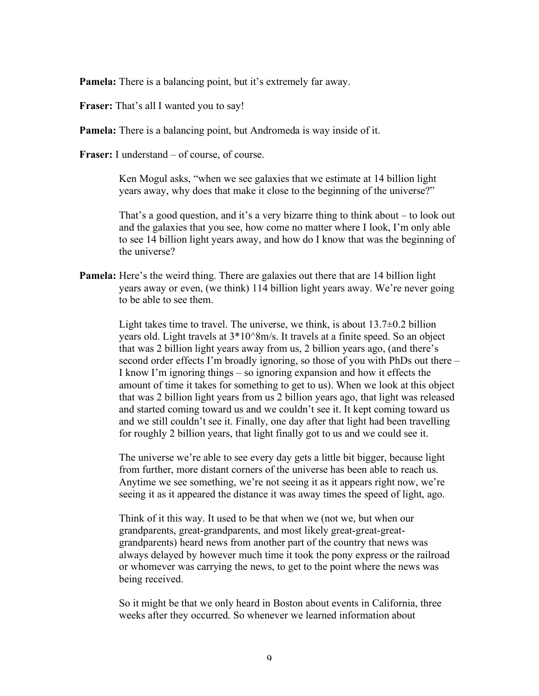**Pamela:** There is a balancing point, but it's extremely far away.

**Fraser:** That's all I wanted you to say!

**Pamela:** There is a balancing point, but Andromeda is way inside of it.

**Fraser:** I understand – of course, of course.

Ken Mogul asks, "when we see galaxies that we estimate at 14 billion light years away, why does that make it close to the beginning of the universe?"

That's a good question, and it's a very bizarre thing to think about – to look out and the galaxies that you see, how come no matter where I look, I'm only able to see 14 billion light years away, and how do I know that was the beginning of the universe?

**Pamela:** Here's the weird thing. There are galaxies out there that are 14 billion light years away or even, (we think) 114 billion light years away. We're never going to be able to see them.

> Light takes time to travel. The universe, we think, is about  $13.7\pm0.2$  billion years old. Light travels at 3\*10^8m/s. It travels at a finite speed. So an object that was 2 billion light years away from us, 2 billion years ago, (and there's second order effects I'm broadly ignoring, so those of you with PhDs out there – I know I'm ignoring things – so ignoring expansion and how it effects the amount of time it takes for something to get to us). When we look at this object that was 2 billion light years from us 2 billion years ago, that light was released and started coming toward us and we couldn't see it. It kept coming toward us and we still couldn't see it. Finally, one day after that light had been travelling for roughly 2 billion years, that light finally got to us and we could see it.

The universe we're able to see every day gets a little bit bigger, because light from further, more distant corners of the universe has been able to reach us. Anytime we see something, we're not seeing it as it appears right now, we're seeing it as it appeared the distance it was away times the speed of light, ago.

Think of it this way. It used to be that when we (not we, but when our grandparents, great-grandparents, and most likely great-great-greatgrandparents) heard news from another part of the country that news was always delayed by however much time it took the pony express or the railroad or whomever was carrying the news, to get to the point where the news was being received.

So it might be that we only heard in Boston about events in California, three weeks after they occurred. So whenever we learned information about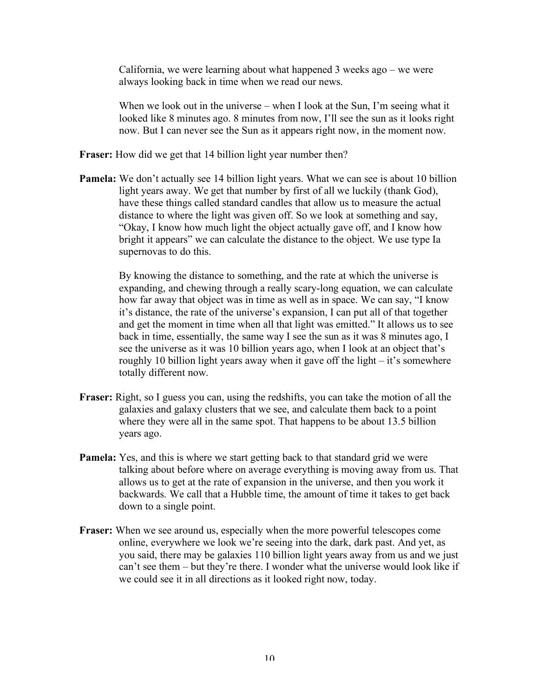California, we were learning about what happened 3 weeks ago – we were always looking back in time when we read our news.

When we look out in the universe – when I look at the Sun, I'm seeing what it looked like 8 minutes ago. 8 minutes from now, I'll see the sun as it looks right now. But I can never see the Sun as it appears right now, in the moment now.

**Fraser:** How did we get that 14 billion light year number then?

**Pamela:** We don't actually see 14 billion light years. What we can see is about 10 billion light years away. We get that number by first of all we luckily (thank God), have these things called standard candles that allow us to measure the actual distance to where the light was given off. So we look at something and say, "Okay, I know how much light the object actually gave off, and I know how bright it appears" we can calculate the distance to the object. We use type Ia supernovas to do this.

> By knowing the distance to something, and the rate at which the universe is expanding, and chewing through a really scary-long equation, we can calculate how far away that object was in time as well as in space. We can say, "I know it's distance, the rate of the universe's expansion, I can put all of that together and get the moment in time when all that light was emitted." It allows us to see back in time, essentially, the same way I see the sun as it was 8 minutes ago, I see the universe as it was 10 billion years ago, when I look at an object that's roughly 10 billion light years away when it gave off the light – it's somewhere totally different now.

- **Fraser:** Right, so I guess you can, using the redshifts, you can take the motion of all the galaxies and galaxy clusters that we see, and calculate them back to a point where they were all in the same spot. That happens to be about 13.5 billion years ago.
- **Pamela:** Yes, and this is where we start getting back to that standard grid we were talking about before where on average everything is moving away from us. That allows us to get at the rate of expansion in the universe, and then you work it backwards. We call that a Hubble time, the amount of time it takes to get back down to a single point.
- **Fraser:** When we see around us, especially when the more powerful telescopes come online, everywhere we look we're seeing into the dark, dark past. And yet, as you said, there may be galaxies 110 billion light years away from us and we just can't see them – but they're there. I wonder what the universe would look like if we could see it in all directions as it looked right now, today.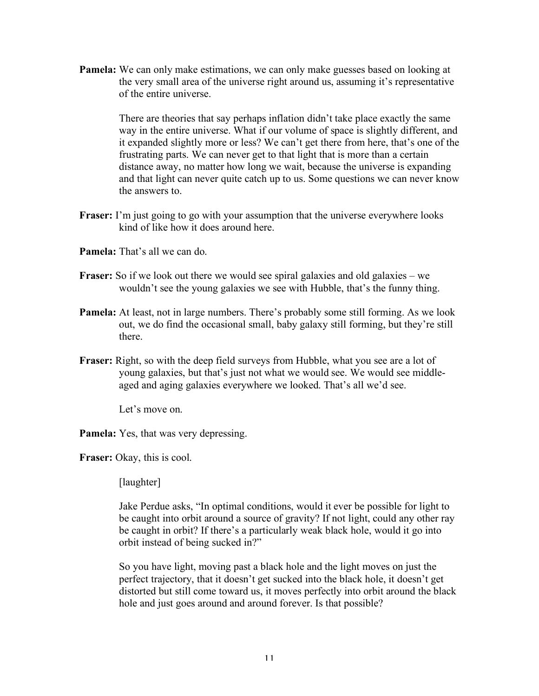**Pamela:** We can only make estimations, we can only make guesses based on looking at the very small area of the universe right around us, assuming it's representative of the entire universe.

> There are theories that say perhaps inflation didn't take place exactly the same way in the entire universe. What if our volume of space is slightly different, and it expanded slightly more or less? We can't get there from here, that's one of the frustrating parts. We can never get to that light that is more than a certain distance away, no matter how long we wait, because the universe is expanding and that light can never quite catch up to us. Some questions we can never know the answers to.

- **Fraser:** I'm just going to go with your assumption that the universe everywhere looks kind of like how it does around here.
- **Pamela:** That's all we can do.
- **Fraser:** So if we look out there we would see spiral galaxies and old galaxies we wouldn't see the young galaxies we see with Hubble, that's the funny thing.
- **Pamela:** At least, not in large numbers. There's probably some still forming. As we look out, we do find the occasional small, baby galaxy still forming, but they're still there.
- **Fraser:** Right, so with the deep field surveys from Hubble, what you see are a lot of young galaxies, but that's just not what we would see. We would see middleaged and aging galaxies everywhere we looked. That's all we'd see.

Let's move on.

**Pamela:** Yes, that was very depressing.

**Fraser:** Okay, this is cool.

[laughter]

Jake Perdue asks, "In optimal conditions, would it ever be possible for light to be caught into orbit around a source of gravity? If not light, could any other ray be caught in orbit? If there's a particularly weak black hole, would it go into orbit instead of being sucked in?"

So you have light, moving past a black hole and the light moves on just the perfect trajectory, that it doesn't get sucked into the black hole, it doesn't get distorted but still come toward us, it moves perfectly into orbit around the black hole and just goes around and around forever. Is that possible?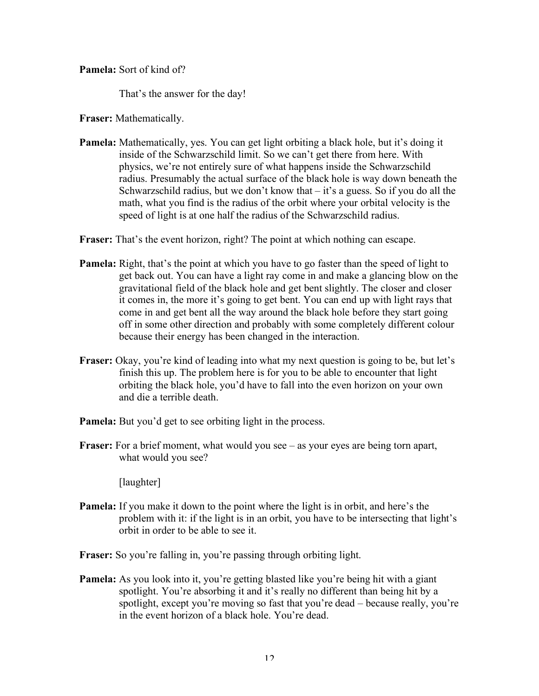## **Pamela:** Sort of kind of?

That's the answer for the day!

**Fraser:** Mathematically.

**Pamela:** Mathematically, yes. You can get light orbiting a black hole, but it's doing it inside of the Schwarzschild limit. So we can't get there from here. With physics, we're not entirely sure of what happens inside the Schwarzschild radius. Presumably the actual surface of the black hole is way down beneath the Schwarzschild radius, but we don't know that  $-$  it's a guess. So if you do all the math, what you find is the radius of the orbit where your orbital velocity is the speed of light is at one half the radius of the Schwarzschild radius.

**Fraser:** That's the event horizon, right? The point at which nothing can escape.

- **Pamela:** Right, that's the point at which you have to go faster than the speed of light to get back out. You can have a light ray come in and make a glancing blow on the gravitational field of the black hole and get bent slightly. The closer and closer it comes in, the more it's going to get bent. You can end up with light rays that come in and get bent all the way around the black hole before they start going off in some other direction and probably with some completely different colour because their energy has been changed in the interaction.
- **Fraser:** Okay, you're kind of leading into what my next question is going to be, but let's finish this up. The problem here is for you to be able to encounter that light orbiting the black hole, you'd have to fall into the even horizon on your own and die a terrible death.
- **Pamela:** But you'd get to see orbiting light in the process.
- **Fraser:** For a brief moment, what would you see as your eyes are being torn apart, what would you see?

[laughter]

**Pamela:** If you make it down to the point where the light is in orbit, and here's the problem with it: if the light is in an orbit, you have to be intersecting that light's orbit in order to be able to see it.

**Fraser:** So you're falling in, you're passing through orbiting light.

**Pamela:** As you look into it, you're getting blasted like you're being hit with a giant spotlight. You're absorbing it and it's really no different than being hit by a spotlight, except you're moving so fast that you're dead – because really, you're in the event horizon of a black hole. You're dead.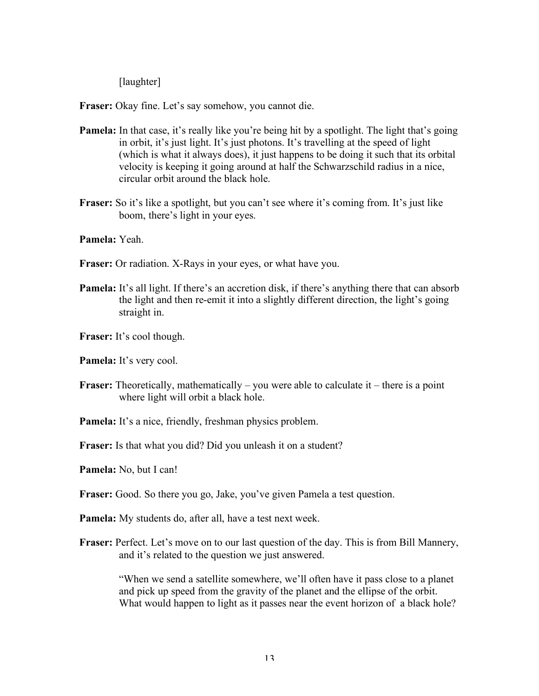[laughter]

**Fraser:** Okay fine. Let's say somehow, you cannot die.

- **Pamela:** In that case, it's really like you're being hit by a spotlight. The light that's going in orbit, it's just light. It's just photons. It's travelling at the speed of light (which is what it always does), it just happens to be doing it such that its orbital velocity is keeping it going around at half the Schwarzschild radius in a nice, circular orbit around the black hole.
- Fraser: So it's like a spotlight, but you can't see where it's coming from. It's just like boom, there's light in your eyes.

**Pamela:** Yeah.

- **Fraser:** Or radiation. X-Rays in your eyes, or what have you.
- **Pamela:** It's all light. If there's an accretion disk, if there's anything there that can absorb the light and then re-emit it into a slightly different direction, the light's going straight in.

**Fraser:** It's cool though.

**Pamela:** It's very cool.

**Fraser:** Theoretically, mathematically – you were able to calculate it – there is a point where light will orbit a black hole.

**Pamela:** It's a nice, friendly, freshman physics problem.

**Fraser:** Is that what you did? Did you unleash it on a student?

**Pamela:** No, but I can!

**Fraser:** Good. So there you go, Jake, you've given Pamela a test question.

**Pamela:** My students do, after all, have a test next week.

**Fraser:** Perfect. Let's move on to our last question of the day. This is from Bill Mannery, and it's related to the question we just answered.

> "When we send a satellite somewhere, we'll often have it pass close to a planet and pick up speed from the gravity of the planet and the ellipse of the orbit. What would happen to light as it passes near the event horizon of a black hole?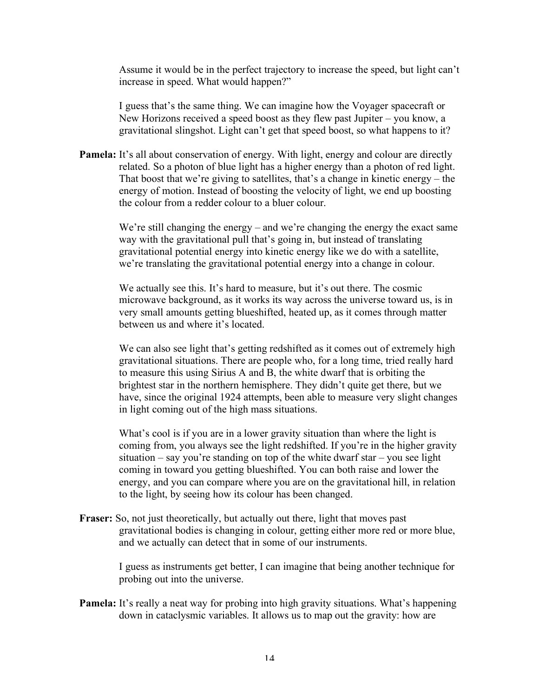Assume it would be in the perfect trajectory to increase the speed, but light can't increase in speed. What would happen?"

I guess that's the same thing. We can imagine how the Voyager spacecraft or New Horizons received a speed boost as they flew past Jupiter – you know, a gravitational slingshot. Light can't get that speed boost, so what happens to it?

**Pamela:** It's all about conservation of energy. With light, energy and colour are directly related. So a photon of blue light has a higher energy than a photon of red light. That boost that we're giving to satellites, that's a change in kinetic energy – the energy of motion. Instead of boosting the velocity of light, we end up boosting the colour from a redder colour to a bluer colour.

> We're still changing the energy – and we're changing the energy the exact same way with the gravitational pull that's going in, but instead of translating gravitational potential energy into kinetic energy like we do with a satellite, we're translating the gravitational potential energy into a change in colour.

We actually see this. It's hard to measure, but it's out there. The cosmic microwave background, as it works its way across the universe toward us, is in very small amounts getting blueshifted, heated up, as it comes through matter between us and where it's located.

We can also see light that's getting redshifted as it comes out of extremely high gravitational situations. There are people who, for a long time, tried really hard to measure this using Sirius A and B, the white dwarf that is orbiting the brightest star in the northern hemisphere. They didn't quite get there, but we have, since the original 1924 attempts, been able to measure very slight changes in light coming out of the high mass situations.

What's cool is if you are in a lower gravity situation than where the light is coming from, you always see the light redshifted. If you're in the higher gravity situation – say you're standing on top of the white dwarf star – you see light coming in toward you getting blueshifted. You can both raise and lower the energy, and you can compare where you are on the gravitational hill, in relation to the light, by seeing how its colour has been changed.

**Fraser:** So, not just theoretically, but actually out there, light that moves past gravitational bodies is changing in colour, getting either more red or more blue, and we actually can detect that in some of our instruments.

> I guess as instruments get better, I can imagine that being another technique for probing out into the universe.

**Pamela:** It's really a neat way for probing into high gravity situations. What's happening down in cataclysmic variables. It allows us to map out the gravity: how are